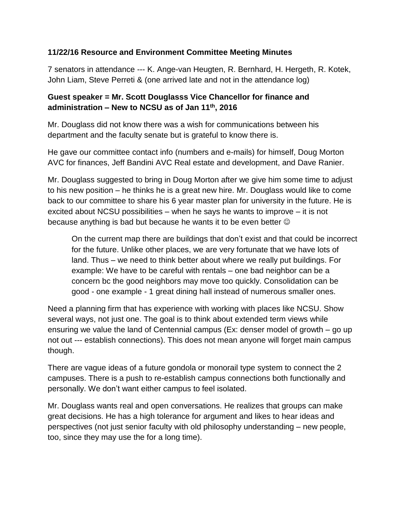## **11/22/16 Resource and Environment Committee Meeting Minutes**

7 senators in attendance --- K. Ange-van Heugten, R. Bernhard, H. Hergeth, R. Kotek, John Liam, Steve Perreti & (one arrived late and not in the attendance log)

## **Guest speaker = Mr. Scott Douglasss Vice Chancellor for finance and administration – New to NCSU as of Jan 11th , 2016**

Mr. Douglass did not know there was a wish for communications between his department and the faculty senate but is grateful to know there is.

He gave our committee contact info (numbers and e-mails) for himself, Doug Morton AVC for finances, Jeff Bandini AVC Real estate and development, and Dave Ranier.

Mr. Douglass suggested to bring in Doug Morton after we give him some time to adjust to his new position – he thinks he is a great new hire. Mr. Douglass would like to come back to our committee to share his 6 year master plan for university in the future. He is excited about NCSU possibilities – when he says he wants to improve – it is not because anything is bad but because he wants it to be even better

On the current map there are buildings that don't exist and that could be incorrect for the future. Unlike other places, we are very fortunate that we have lots of land. Thus – we need to think better about where we really put buildings. For example: We have to be careful with rentals – one bad neighbor can be a concern bc the good neighbors may move too quickly. Consolidation can be good - one example - 1 great dining hall instead of numerous smaller ones.

Need a planning firm that has experience with working with places like NCSU. Show several ways, not just one. The goal is to think about extended term views while ensuring we value the land of Centennial campus (Ex: denser model of growth – go up not out --- establish connections). This does not mean anyone will forget main campus though.

There are vague ideas of a future gondola or monorail type system to connect the 2 campuses. There is a push to re-establish campus connections both functionally and personally. We don't want either campus to feel isolated.

Mr. Douglass wants real and open conversations. He realizes that groups can make great decisions. He has a high tolerance for argument and likes to hear ideas and perspectives (not just senior faculty with old philosophy understanding – new people, too, since they may use the for a long time).